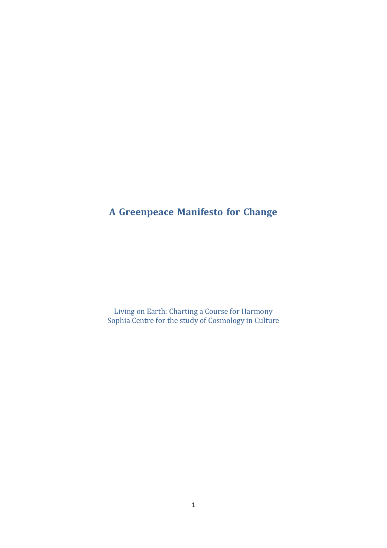# **A Greenpeace Manifesto for Change**

Living on Earth: Charting a Course for Harmony Sophia Centre for the study of Cosmology in Culture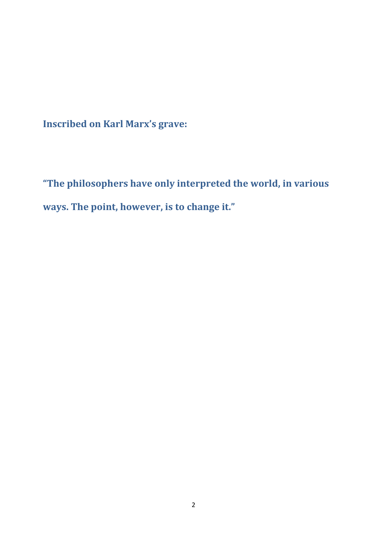**Inscribed on Karl Marx's grave:**

**"The philosophers have only interpreted the world, in various ways. The point, however, is to change it."**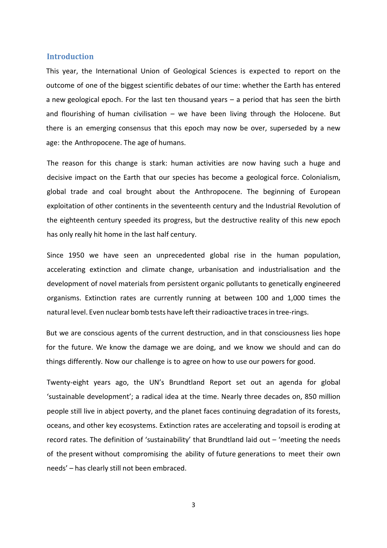#### **Introduction**

This year, the International Union of Geological Sciences is expected to report on the outcome of one of the biggest scientific debates of our time: whether the Earth has entered a new geological epoch. For the last ten thousand years – a period that has seen the birth and flourishing of human civilisation  $-$  we have been living through the Holocene. But there is an emerging consensus that this epoch may now be over, superseded by a new age: the Anthropocene. The age of humans.

The reason for this change is stark: human activities are now having such a huge and decisive impact on the Earth that our species has become a geological force. Colonialism, global trade and coal brought about the Anthropocene. The beginning of European exploitation of other continents in the seventeenth century and the Industrial Revolution of the eighteenth century speeded its progress, but the destructive reality of this new epoch has only really hit home in the last half century.

Since 1950 we have seen an unprecedented global rise in the human population, accelerating extinction and climate change, urbanisation and industrialisation and the development of novel materials from persistent organic pollutants to genetically engineered organisms. Extinction rates are currently running at between 100 and 1,000 times the natural level. Even nuclear bomb tests have left their radioactive traces in tree-rings.

But we are conscious agents of the current destruction, and in that consciousness lies hope for the future. We know the damage we are doing, and we know we should and can do things differently. Now our challenge is to agree on how to use our powers for good.

Twenty-eight years ago, the UN's Brundtland Report set out an agenda for global 'sustainable development'; a radical idea at the time. Nearly three decades on, 850 million people still live in abject poverty, and the planet faces continuing degradation of its forests, oceans, and other key ecosystems. Extinction rates are accelerating and topsoil is eroding at record rates. The definition of 'sustainability' that Brundtland laid out – 'meeting the needs of the present without compromising the ability of future generations to meet their own needs' – has clearly still not been embraced.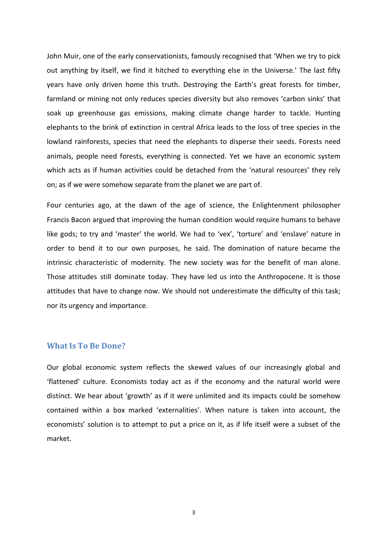John Muir, one of the early conservationists, famously recognised that 'When we try to pick out anything by itself, we find it hitched to everything else in the Universe.' The last fifty years have only driven home this truth. Destroying the Earth's great forests for timber, farmland or mining not only reduces species diversity but also removes 'carbon sinks' that soak up greenhouse gas emissions, making climate change harder to tackle. Hunting elephants to the brink of extinction in central Africa leads to the loss of tree species in the lowland rainforests, species that need the elephants to disperse their seeds. Forests need animals, people need forests, everything is connected. Yet we have an economic system which acts as if human activities could be detached from the 'natural resources' they rely on; as if we were somehow separate from the planet we are part of.

Four centuries ago, at the dawn of the age of science, the Enlightenment philosopher Francis Bacon argued that improving the human condition would require humans to behave like gods; to try and 'master' the world. We had to 'vex', 'torture' and 'enslave' nature in order to bend it to our own purposes, he said. The domination of nature became the intrinsic characteristic of modernity. The new society was for the benefit of man alone. Those attitudes still dominate today. They have led us into the Anthropocene. It is those attitudes that have to change now. We should not underestimate the difficulty of this task; nor its urgency and importance.

# **What Is To Be Done?**

Our global economic system reflects the skewed values of our increasingly global and 'flattened' culture. Economists today act as if the economy and the natural world were distinct. We hear about 'growth' as if it were unlimited and its impacts could be somehow contained within a box marked 'externalities'. When nature is taken into account, the economists' solution is to attempt to put a price on it, as if life itself were a subset of the market.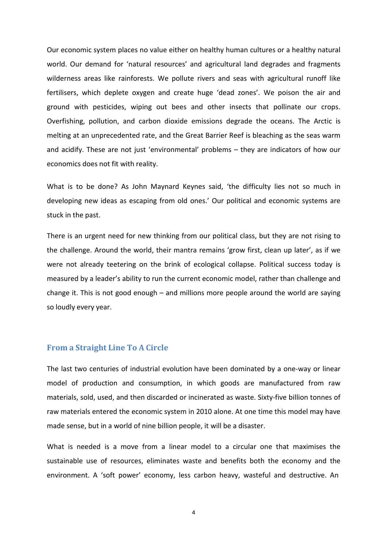Our economic system places no value either on healthy human cultures or a healthy natural world. Our demand for 'natural resources' and agricultural land degrades and fragments wilderness areas like rainforests. We pollute rivers and seas with agricultural runoff like fertilisers, which deplete oxygen and create huge 'dead zones'. We poison the air and ground with pesticides, wiping out bees and other insects that pollinate our crops. Overfishing, pollution, and carbon dioxide emissions degrade the oceans. The Arctic is melting at an unprecedented rate, and the Great Barrier Reef is bleaching as the seas warm and acidify. These are not just 'environmental' problems – they are indicators of how our economics does not fit with reality.

What is to be done? As John Maynard Keynes said, 'the difficulty lies not so much in developing new ideas as escaping from old ones.' Our political and economic systems are stuck in the past.

There is an urgent need for new thinking from our political class, but they are not rising to the challenge. Around the world, their mantra remains 'grow first, clean up later', as if we were not already teetering on the brink of ecological collapse. Political success today is measured by a leader's ability to run the current economic model, rather than challenge and change it. This is not good enough – and millions more people around the world are saying so loudly every year.

## **From a Straight Line To A Circle**

The last two centuries of industrial evolution have been dominated by a one-way or linear model of production and consumption, in which goods are manufactured from raw materials, sold, used, and then discarded or incinerated as waste. Sixty-five billion tonnes of raw materials entered the economic system in 2010 alone. At one time this model may have made sense, but in a world of nine billion people, it will be a disaster.

What is needed is a move from a linear model to a circular one that maximises the sustainable use of resources, eliminates waste and benefits both the economy and the environment. A 'soft power' economy, less carbon heavy, wasteful and destructive. An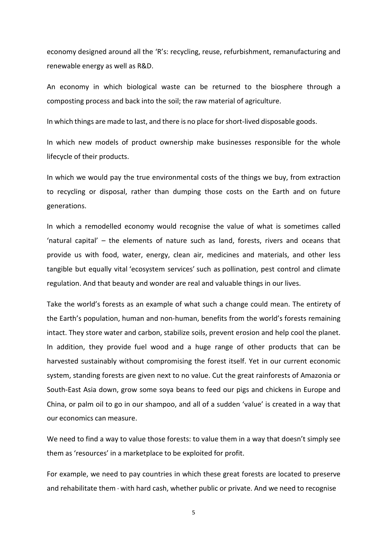economy designed around all the 'R's: recycling, reuse, refurbishment, remanufacturing and renewable energy as well as R&D.

An economy in which biological waste can be returned to the biosphere through a composting process and back into the soil; the raw material of agriculture.

In which things are made to last, and there is no place forshort-lived disposable goods.

In which new models of product ownership make businesses responsible for the whole lifecycle of their products.

In which we would pay the true environmental costs of the things we buy, from extraction to recycling or disposal, rather than dumping those costs on the Earth and on future generations.

In which a remodelled economy would recognise the value of what is sometimes called 'natural capital' – the elements of nature such as land, forests, rivers and oceans that provide us with food, water, energy, clean air, medicines and materials, and other less tangible but equally vital 'ecosystem services' such as pollination, pest control and climate regulation. And that beauty and wonder are real and valuable things in our lives.

Take the world's forests as an example of what such a change could mean. The entirety of the Earth's population, human and non-human, benefits from the world's forests remaining intact. They store water and carbon, stabilize soils, prevent erosion and help cool the planet. In addition, they provide fuel wood and a huge range of other products that can be harvested sustainably without compromising the forest itself. Yet in our current economic system, standing forests are given next to no value. Cut the great rainforests of Amazonia or South-East Asia down, grow some soya beans to feed our pigs and chickens in Europe and China, or palm oil to go in our shampoo, and all of a sudden 'value' is created in a way that our economics can measure.

We need to find a way to value those forests: to value them in a way that doesn't simply see them as 'resources' in a marketplace to be exploited for profit.

For example, we need to pay countries in which these great forests are located to preserve and rehabilitate them - with hard cash, whether public or private. And we need to recognise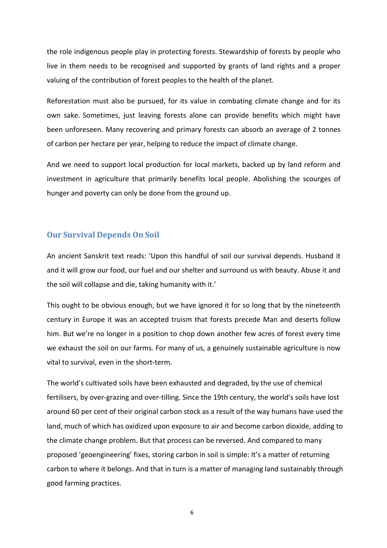the role indigenous people play in protecting forests. Stewardship of forests by people who live in them needs to be recognised and supported by grants of land rights and a proper valuing of the contribution of forest peoples to the health of the planet.

Reforestation must also be pursued, for its value in combating climate change and for its own sake. Sometimes, just leaving forests alone can provide benefits which might have been unforeseen. Many recovering and primary forests can absorb an average of 2 tonnes of carbon per hectare per year, helping to reduce the impact of climate change.

And we need to support local production for local markets, backed up by land reform and investment in agriculture that primarily benefits local people. Abolishing the scourges of hunger and poverty can only be done from the ground up.

# **Our Survival Depends On Soil**

An ancient Sanskrit text reads: 'Upon this handful of soil our survival depends. Husband it and it will grow our food, our fuel and our shelter and surround us with beauty. Abuse it and the soil will collapse and die, taking humanity with it.'

This ought to be obvious enough, but we have ignored it for so long that by the nineteenth century in Europe it was an accepted truism that forests precede Man and deserts follow him. But we're no longer in a position to chop down another few acres of forest every time we exhaust the soil on our farms. For many of us, a genuinely sustainable agriculture is now vital to survival, even in the short-term.

The world's cultivated soils have been exhausted and degraded, by the use of chemical fertilisers, by over-grazing and over-tilling. Since the 19th century, the world's soils have lost around 60 per cent of their original carbon stock as a result of the way humans have used the land, much of which has oxidized upon exposure to air and become carbon dioxide, adding to the climate change problem. But that process can be reversed. And compared to many proposed 'geoengineering' fixes, storing carbon in soil is simple: It's a matter of returning carbon to where it belongs. And that in turn is a matter of managing land sustainably through good farming practices.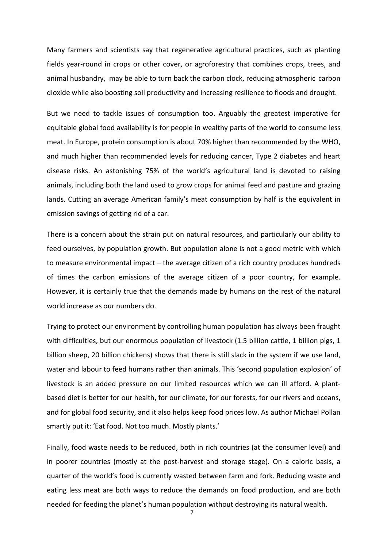Many farmers and scientists say that regenerative agricultural practices, such as planting fields year-round in crops or other cover, or agroforestry that combines crops, trees, and animal husbandry, may be able to turn back the carbon clock, reducing atmospheric carbon dioxide while also boosting soil productivity and increasing resilience to floods and drought.

But we need to tackle issues of consumption too. Arguably the greatest imperative for equitable global food availability is for people in wealthy parts of the world to consume less meat. In Europe, protein consumption is about 70% higher than recommended by the WHO, and much higher than recommended levels for reducing cancer, Type 2 diabetes and heart disease risks. An astonishing 75% of the world's agricultural land is devoted to raising animals, including both the land used to grow crops for animal feed and pasture and grazing lands. Cutting an average American family's meat consumption by half is the equivalent in emission savings of getting rid of a car.

There is a concern about the strain put on natural resources, and particularly our ability to feed ourselves, by population growth. But population alone is not a good metric with which to measure environmental impact – the average citizen of a rich country produces hundreds of times the carbon emissions of the average citizen of a poor country, for example. However, it is certainly true that the demands made by humans on the rest of the natural world increase as our numbers do.

Trying to protect our environment by controlling human population has always been fraught with difficulties, but our enormous population of livestock (1.5 billion cattle, 1 billion pigs, 1 billion sheep, 20 billion chickens) shows that there is still slack in the system if we use land, water and labour to feed humans rather than animals. This 'second population explosion' of livestock is an added pressure on our limited resources which we can ill afford. A plantbased diet is better for our health, for our climate, for our forests, for our rivers and oceans, and for global food security, and it also helps keep food prices low. As author Michael Pollan smartly put it: 'Eat food. Not too much. Mostly plants.'

Finally, food waste needs to be reduced, both in rich countries (at the consumer level) and in poorer countries (mostly at the post-harvest and storage stage). On a caloric basis, a quarter of the world's food is currently wasted between farm and fork. Reducing waste and eating less meat are both ways to reduce the demands on food production, and are both needed for feeding the planet's human population without destroying its natural wealth.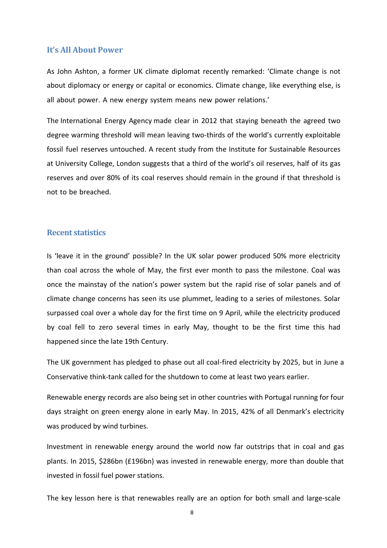## **It's All About Power**

As John Ashton, a former UK climate diplomat recently remarked: 'Climate change is not about diplomacy or energy or capital or economics. Climate change, like everything else, is all about power. A new energy system means new power relations.'

The International Energy Agency made clear in 2012 that staying beneath the agreed two degree warming threshold will mean leaving two-thirds of the world's currently exploitable fossil fuel reserves untouched. A recent study from the Institute for Sustainable Resources at University College, London suggests that a third of the world's oil reserves, half of its gas reserves and over 80% of its coal reserves should remain in the ground if that threshold is not to be breached.

# **Recent statistics**

Is 'leave it in the ground' possible? In the UK solar power produced 50% more electricity than coal across the whole of May, the first ever month to pass the milestone. Coal was once the mainstay of the nation's power system but the rapid rise of solar panels and of climate change concerns has seen its use plummet, leading to a series of milestones. Solar surpassed coal over a whole day for the first time on 9 April, while the electricity produced by coal fell to zero several times in early May, thought to be the first time this had happened since the late 19th Century.

The UK government has pledged to phase out all coal-fired electricity by 2025, but in June a Conservative think-tank called for the shutdown to come at least two years earlier.

Renewable energy records are also being set in other countries with Portugal running for four days straight on green energy alone in early May. In 2015, 42% of all Denmark's electricity was produced by wind turbines.

Investment in renewable energy around the world now far outstrips that in coal and gas plants. In 2015, \$286bn (£196bn) was invested in renewable energy, more than double that invested in fossil fuel power stations.

The key lesson here is that renewables really are an option for both small and large-scale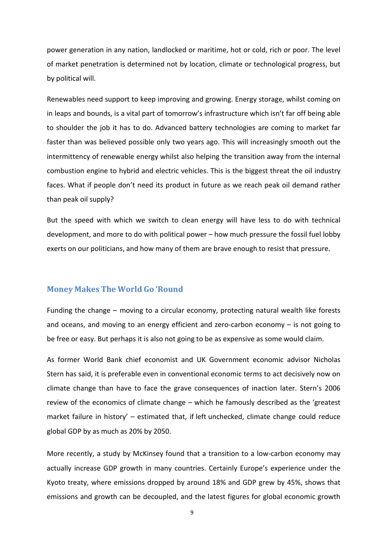power generation in any nation, landlocked or maritime, hot or cold, rich or poor. The level of market penetration is determined not by location, climate or technological progress, but by political will.

Renewables need support to keep improving and growing. Energy storage, whilst coming on in leaps and bounds, is a vital part of tomorrow's infrastructure which isn't far off being able to shoulder the job it has to do. Advanced battery technologies are coming to market far faster than was believed possible only two years ago. This will increasingly smooth out the intermittency of renewable energy whilst also helping the transition away from the internal combustion engine to hybrid and electric vehicles. This is the biggest threat the oil industry faces. What if people don't need its product in future as we reach peak oil demand rather than peak oil supply?

But the speed with which we switch to clean energy will have less to do with technical development, and more to do with political power – how much pressure the fossil fuel lobby exerts on our politicians, and how many of them are brave enough to resist that pressure.

## **Money Makes The World Go 'Round**

Funding the change – moving to a circular economy, protecting natural wealth like forests and oceans, and moving to an energy efficient and zero-carbon economy – is not going to be free or easy. But perhaps it is also not going to be as expensive as some would claim.

As former World Bank chief economist and UK Government economic advisor Nicholas Stern has said, it is preferable even in conventional economic terms to act decisively now on climate change than have to face the grave consequences of inaction later. Stern's 2006 review of the economics of climate change – which he famously described as the 'greatest market failure in history' – estimated that, if left unchecked, climate change could reduce global GDP by as much as 20% by 2050.

More recently, a study by McKinsey found that a transition to a low-carbon economy may actually increase GDP growth in many countries. Certainly Europe's experience under the Kyoto treaty, where emissions dropped by around 18% and GDP grew by 45%, shows that emissions and growth can be decoupled, and the latest figures for global economic growth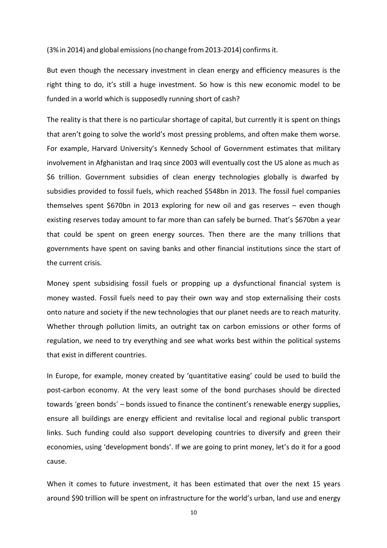(3% in 2014) and global emissions(no change from2013‐2014) confirmsit.

But even though the necessary investment in clean energy and efficiency measures is the right thing to do, it's still a huge investment. So how is this new economic model to be funded in a world which is supposedly running short of cash?

The reality is that there is no particular shortage of capital, but currently it is spent on things that aren't going to solve the world's most pressing problems, and often make them worse. For example, Harvard University's Kennedy School of Government estimates that military involvement in Afghanistan and Iraq since 2003 will eventually cost the US alone as much as \$6 trillion. Government subsidies of clean energy technologies globally is dwarfed by subsidies provided to fossil fuels, which reached \$548bn in 2013. The fossil fuel companies themselves spent \$670bn in 2013 exploring for new oil and gas reserves – even though existing reserves today amount to far more than can safely be burned. That's \$670bn a year that could be spent on green energy sources. Then there are the many trillions that governments have spent on saving banks and other financial institutions since the start of the current crisis.

Money spent subsidising fossil fuels or propping up a dysfunctional financial system is money wasted. Fossil fuels need to pay their own way and stop externalising their costs onto nature and society if the new technologies that our planet needs are to reach maturity. Whether through pollution limits, an outright tax on carbon emissions or other forms of regulation, we need to try everything and see what works best within the political systems that exist in different countries.

In Europe, for example, money created by 'quantitative easing' could be used to build the post-carbon economy. At the very least some of the bond purchases should be directed towards 'green bonds' – bonds issued to finance the continent's renewable energy supplies, ensure all buildings are energy efficient and revitalise local and regional public transport links. Such funding could also support developing countries to diversify and green their economies, using 'development bonds'. If we are going to print money, let's do it for a good cause.

When it comes to future investment, it has been estimated that over the next 15 years around \$90 trillion will be spent on infrastructure for the world's urban, land use and energy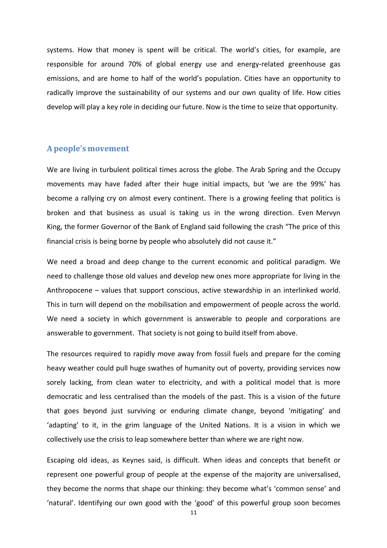systems. How that money is spent will be critical. The world's cities, for example, are responsible for around 70% of global energy use and energy-related greenhouse gas emissions, and are home to half of the world's population. Cities have an opportunity to radically improve the sustainability of our systems and our own quality of life. How cities develop will play a key role in deciding our future. Now is the time to seize that opportunity.

## **A people's movement**

We are living in turbulent political times across the globe. The Arab Spring and the Occupy movements may have faded after their huge initial impacts, but 'we are the 99%' has become a rallying cry on almost every continent. There is a growing feeling that politics is broken and that business as usual is taking us in the wrong direction. Even Mervyn King, the former Governor of the Bank of England said following the crash "The price of this financial crisis is being borne by people who absolutely did not cause it."

We need a broad and deep change to the current economic and political paradigm. We need to challenge those old values and develop new ones more appropriate for living in the Anthropocene – values that support conscious, active stewardship in an interlinked world. This in turn will depend on the mobilisation and empowerment of people across the world. We need a society in which government is answerable to people and corporations are answerable to government. That society is not going to build itself from above.

The resources required to rapidly move away from fossil fuels and prepare for the coming heavy weather could pull huge swathes of humanity out of poverty, providing services now sorely lacking, from clean water to electricity, and with a political model that is more democratic and less centralised than the models of the past. This is a vision of the future that goes beyond just surviving or enduring climate change, beyond 'mitigating' and 'adapting' to it, in the grim language of the United Nations. It is a vision in which we collectively use the crisis to leap somewhere better than where we are right now.

Escaping old ideas, as Keynes said, is difficult. When ideas and concepts that benefit or represent one powerful group of people at the expense of the majority are universalised, they become the norms that shape our thinking: they become what's 'common sense' and 'natural'. Identifying our own good with the 'good' of this powerful group soon becomes